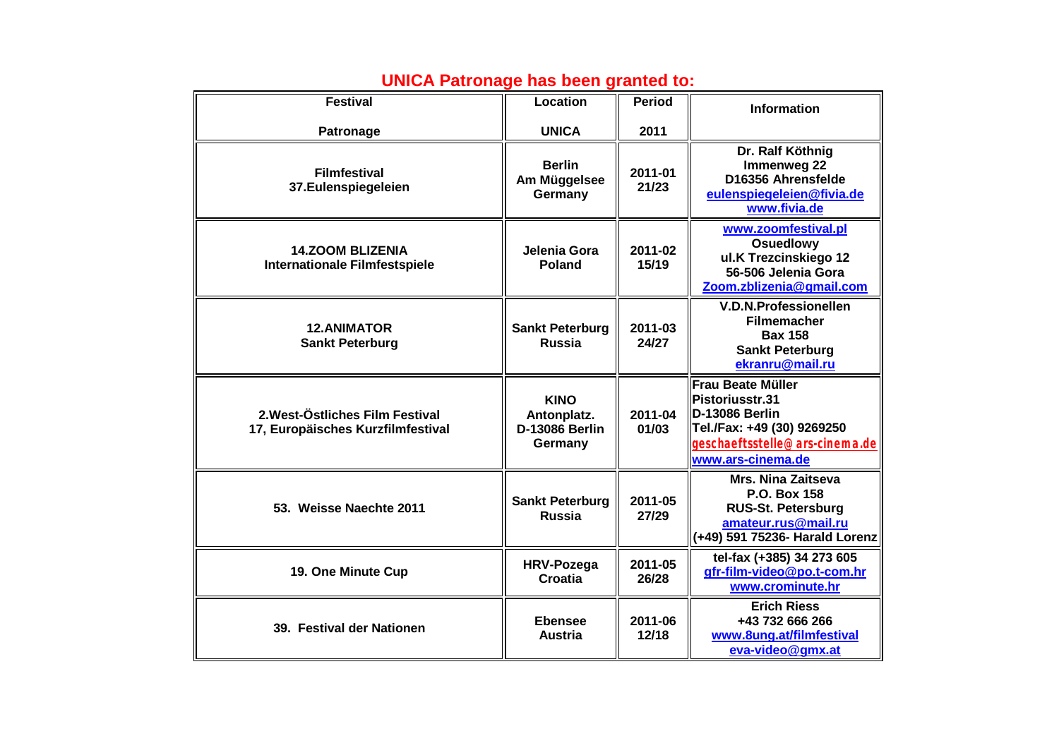| <b>Festival</b>                                                      | Location                                                | <b>Period</b>    | <b>Information</b>                                                                                                                                              |
|----------------------------------------------------------------------|---------------------------------------------------------|------------------|-----------------------------------------------------------------------------------------------------------------------------------------------------------------|
| Patronage                                                            | <b>UNICA</b>                                            | 2011             |                                                                                                                                                                 |
| <b>Filmfestival</b><br>37.Eulenspiegeleien                           | <b>Berlin</b><br>Am Müggelsee<br>Germany                | 2011-01<br>21/23 | Dr. Ralf Köthnig<br>Immenweg 22<br>D16356 Ahrensfelde<br>eulenspiegeleien@fivia.de<br>www.fivia.de                                                              |
| <b>14.ZOOM BLIZENIA</b><br><b>Internationale Filmfestspiele</b>      | Jelenia Gora<br>Poland                                  | 2011-02<br>15/19 | www.zoomfestival.pl<br><b>Osuedlowy</b><br>ul.K Trezcinskiego 12<br>56-506 Jelenia Gora<br>Zoom.zblizenia@gmail.com                                             |
| <b>12.ANIMATOR</b><br><b>Sankt Peterburg</b>                         | <b>Sankt Peterburg</b><br><b>Russia</b>                 | 2011-03<br>24/27 | <b>V.D.N.Professionellen</b><br><b>Filmemacher</b><br><b>Bax 158</b><br><b>Sankt Peterburg</b><br>ekranru@mail.ru                                               |
| 2. West-Östliches Film Festival<br>17, Europäisches Kurzfilmfestival | <b>KINO</b><br>Antonplatz.<br>D-13086 Berlin<br>Germany | 2011-04<br>01/03 | <b>Frau Beate Müller</b><br><b>IPistoriusstr.31</b><br><b>ID-13086 Berlin</b><br>Tel./Fax: +49 (30) 9269250<br>geschæftsstelle@arscinemade<br>www.ars-cinema.de |
| 53. Weisse Naechte 2011                                              | <b>Sankt Peterburg</b><br><b>Russia</b>                 | 2011-05<br>27/29 | <b>Mrs. Nina Zaitseva</b><br>P.O. Box 158<br><b>RUS-St. Petersburg</b><br>amateur.rus@mail.ru<br>(+49) 591 75236- Harald Lorenz                                 |
| 19. One Minute Cup                                                   | <b>HRV-Pozega</b><br><b>Croatia</b>                     | 2011-05<br>26/28 | tel-fax (+385) 34 273 605<br>gfr-film-video@po.t-com.hr<br>www.crominute.hr                                                                                     |
| 39. Festival der Nationen                                            | <b>Ebensee</b><br><b>Austria</b>                        | 2011-06<br>12/18 | <b>Erich Riess</b><br>+43 732 666 266<br>www.8ung.at/filmfestival<br>eva-video@gmx.at                                                                           |

## **UNICA Patronage has been granted to:**